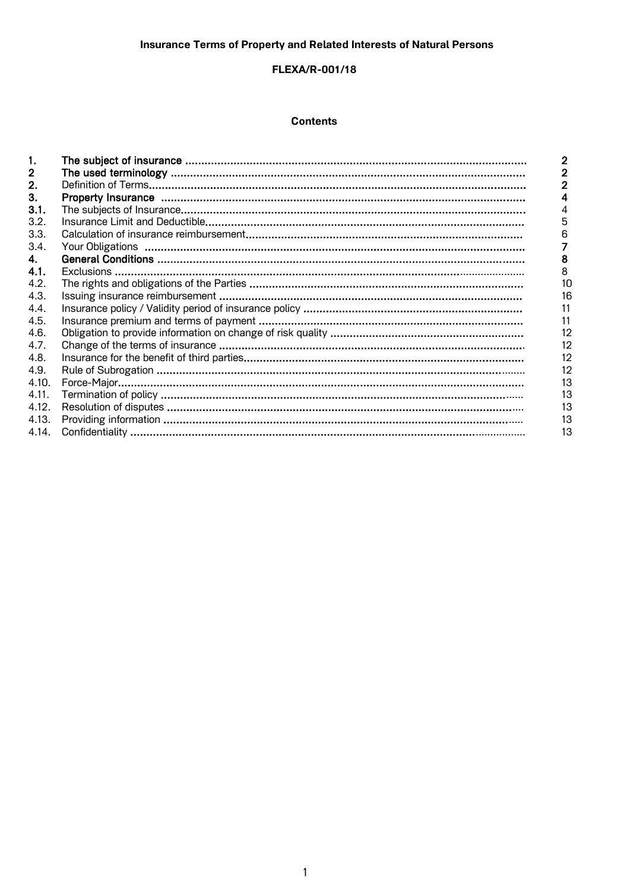# **FLEXA/R-001/18**

## **Contents**

| $\mathbf{2}$ . |    |
|----------------|----|
| З.             | 4  |
| 3.1.           | 4  |
| 3.2.           | 5  |
| 3.3.           | 6  |
| 3.4.           |    |
| $\mathbf{4}$   | 8  |
| 4.1.           | 8  |
| 4.2.           | 10 |
| 4.3.           | 16 |
| 4.4.           | 11 |
| 4.5.           | 11 |
| 4.6.           | 12 |
| 4.7.           | 12 |
| 4.8.           | 12 |
| 4.9.           | 12 |
| 4.10.          | 13 |
| 4.11.          | 13 |
| 4.12.          | 13 |
| 4.13.          | 13 |
| 4.14.          | 13 |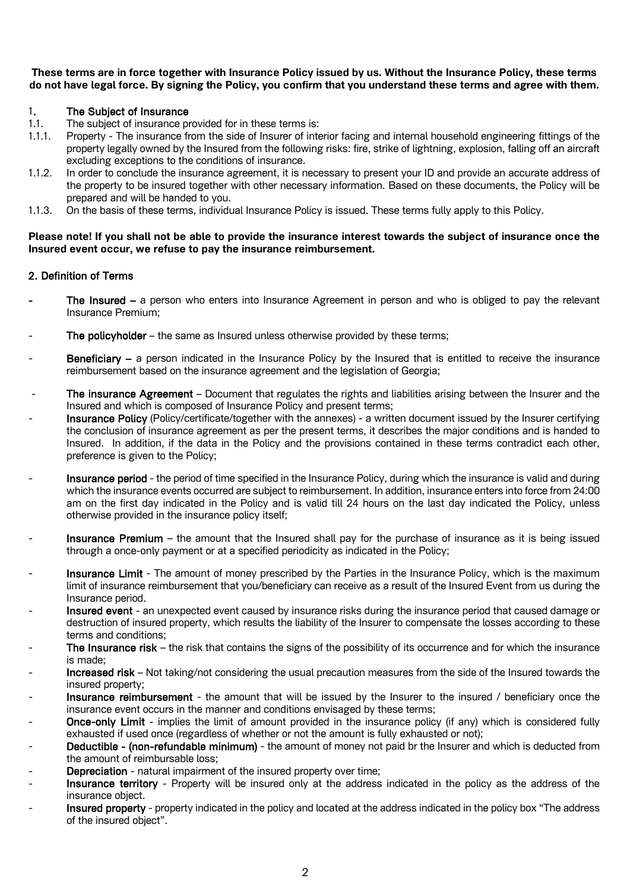**These terms are in force together with Insurance Policy issued by us. Without the Insurance Policy, these terms do not have legal force. By signing the Policy, you confirm that you understand these terms and agree with them.** 

## 1. The Subject of Insurance

- 1.1. The subject of insurance provided for in these terms is:
- 1.1.1. Property The insurance from the side of Insurer of interior facing and internal household engineering fittings of the property legally owned by the Insured from the following risks: fire, strike of lightning, explosion, falling off an aircraft excluding exceptions to the conditions of insurance.
- 1.1.2. In order to conclude the insurance agreement, it is necessary to present your ID and provide an accurate address of the property to be insured together with other necessary information. Based on these documents, the Policy will be prepared and will be handed to you.
- 1.1.3. On the basis of these terms, individual Insurance Policy is issued. These terms fully apply to this Policy.

### **Please note! If you shall not be able to provide the insurance interest towards the subject of insurance once the Insured event occur, we refuse to pay the insurance reimbursement.**

## 2. Definition of Terms

- The Insured  $-$  a person who enters into Insurance Agreement in person and who is obliged to pay the relevant Insurance Premium;
- The policyholder the same as Insured unless otherwise provided by these terms;
- Beneficiary a person indicated in the Insurance Policy by the Insured that is entitled to receive the insurance reimbursement based on the insurance agreement and the legislation of Georgia;
- The insurance Agreement Document that regulates the rights and liabilities arising between the Insurer and the Insured and which is composed of Insurance Policy and present terms;
- Insurance Policy (Policy/certificate/together with the annexes) a written document issued by the Insurer certifying the conclusion of insurance agreement as per the present terms, it describes the major conditions and is handed to Insured. In addition, if the data in the Policy and the provisions contained in these terms contradict each other, preference is given to the Policy;
- Insurance period the period of time specified in the Insurance Policy, during which the insurance is valid and during which the insurance events occurred are subject to reimbursement. In addition, insurance enters into force from 24:00 am on the first day indicated in the Policy and is valid till 24 hours on the last day indicated the Policy, unless otherwise provided in the insurance policy itself;
- Insurance Premium the amount that the Insured shall pay for the purchase of insurance as it is being issued through a once-only payment or at a specified periodicity as indicated in the Policy;
- Insurance Limit The amount of money prescribed by the Parties in the Insurance Policy, which is the maximum limit of insurance reimbursement that you/beneficiary can receive as a result of the Insured Event from us during the Insurance period.
- Insured event an unexpected event caused by insurance risks during the insurance period that caused damage or destruction of insured property, which results the liability of the Insurer to compensate the losses according to these terms and conditions;
- The Insurance risk the risk that contains the signs of the possibility of its occurrence and for which the insurance is made;
- Increased risk Not taking/not considering the usual precaution measures from the side of the Insured towards the insured property;
- Insurance reimbursement the amount that will be issued by the Insurer to the insured / beneficiary once the insurance event occurs in the manner and conditions envisaged by these terms;
- **Once-only Limit** implies the limit of amount provided in the insurance policy (if any) which is considered fully exhausted if used once (regardless of whether or not the amount is fully exhausted or not);
- Deductible (non-refundable minimum) the amount of money not paid br the Insurer and which is deducted from the amount of reimbursable loss;
- **Depreciation** natural impairment of the insured property over time:
- Insurance territory Property will be insured only at the address indicated in the policy as the address of the insurance object.
- Insured property property indicated in the policy and located at the address indicated in the policy box "The address of the insured object".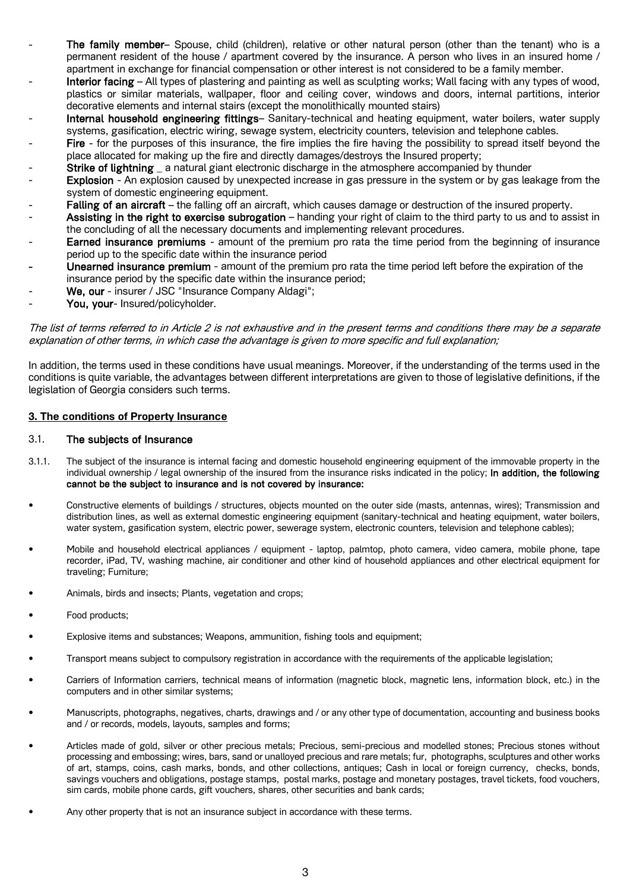- The family member– Spouse, child (children), relative or other natural person (other than the tenant) who is a permanent resident of the house / apartment covered by the insurance. A person who lives in an insured home / apartment in exchange for financial compensation or other interest is not considered to be a family member.
- Interior facing All types of plastering and painting as well as sculpting works; Wall facing with any types of wood, plastics or similar materials, wallpaper, floor and ceiling cover, windows and doors, internal partitions, interior decorative elements and internal stairs (except the monolithically mounted stairs)
- Internal household engineering fittings– Sanitary-technical and heating equipment, water boilers, water supply systems, gasification, electric wiring, sewage system, electricity counters, television and telephone cables.
- Fire for the purposes of this insurance, the fire implies the fire having the possibility to spread itself beyond the place allocated for making up the fire and directly damages/destroys the Insured property;
- Strike of lightning \_ a natural giant electronic discharge in the atmosphere accompanied by thunder
- Explosion An explosion caused by unexpected increase in gas pressure in the system or by gas leakage from the system of domestic engineering equipment.
- Falling of an aircraft the falling off an aircraft, which causes damage or destruction of the insured property.
- Assisting in the right to exercise subrogation handing your right of claim to the third party to us and to assist in the concluding of all the necessary documents and implementing relevant procedures.
- Earned insurance premiums amount of the premium pro rata the time period from the beginning of insurance period up to the specific date within the insurance period
- Unearned insurance premium amount of the premium pro rata the time period left before the expiration of the insurance period by the specific date within the insurance period;
- We, our insurer / JSC "Insurance Company Aldagi";
- You, your- Insured/policyholder.

The list of terms referred to in Article 2 is not exhaustive and in the present terms and conditions there may be a separate explanation of other terms, in which case the advantage is given to more specific and full explanation;

In addition, the terms used in these conditions have usual meanings. Moreover, if the understanding of the terms used in the conditions is quite variable, the advantages between different interpretations are given to those of legislative definitions, if the legislation of Georgia considers such terms.

### **3. The conditions of Property Insurance**

#### 3.1. The subjects of Insurance

- 3.1.1. The subject of the insurance is internal facing and domestic household engineering equipment of the immovable property in the individual ownership / legal ownership of the insured from the insurance risks indicated in the policy; In addition, the following cannot be the subject to insurance and is not covered by insurance:
- Constructive elements of buildings / structures, objects mounted on the outer side (masts, antennas, wires); Transmission and distribution lines, as well as external domestic engineering equipment (sanitary-technical and heating equipment, water boilers, water system, gasification system, electric power, sewerage system, electronic counters, television and telephone cables);
- Mobile and household electrical appliances / equipment laptop, palmtop, photo camera, video camera, mobile phone, tape recorder, iPad, TV, washing machine, air conditioner and other kind of household appliances and other electrical equipment for traveling; Furniture;
- Animals, birds and insects; Plants, vegetation and crops;
- Food products;
- Explosive items and substances; Weapons, ammunition, fishing tools and equipment;
- Transport means subject to compulsory registration in accordance with the requirements of the applicable legislation;
- Carriers of Information carriers, technical means of information (magnetic block, magnetic lens, information block, etc.) in the computers and in other similar systems;
- Manuscripts, photographs, negatives, charts, drawings and / or any other type of documentation, accounting and business books and / or records, models, layouts, samples and forms;
- Articles made of gold, silver or other precious metals; Precious, semi-precious and modelled stones; Precious stones without processing and embossing; wires, bars, sand or unalloyed precious and rare metals; fur, photographs, sculptures and other works of art, stamps, coins, cash marks, bonds, and other collections, antiques; Cash in local or foreign currency, checks, bonds, savings vouchers and obligations, postage stamps, postal marks, postage and monetary postages, travel tickets, food vouchers, sim cards, mobile phone cards, gift vouchers, shares, other securities and bank cards;
- Any other property that is not an insurance subject in accordance with these terms.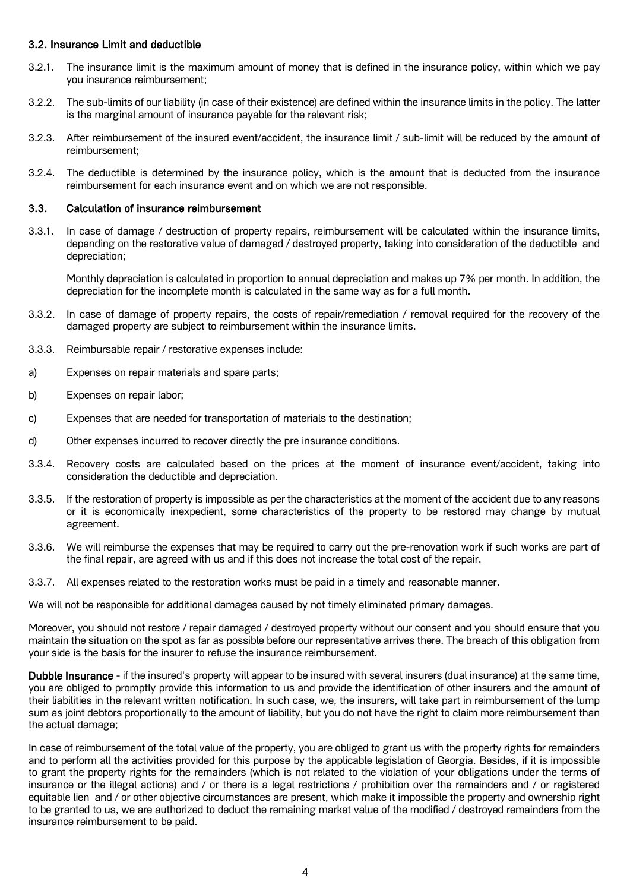## 3.2. Insurance Limit and deductible

- 3.2.1. The insurance limit is the maximum amount of money that is defined in the insurance policy, within which we pay you insurance reimbursement;
- 3.2.2. The sub-limits of our liability (in case of their existence) are defined within the insurance limits in the policy. The latter is the marginal amount of insurance payable for the relevant risk;
- 3.2.3. After reimbursement of the insured event/accident, the insurance limit / sub-limit will be reduced by the amount of reimbursement;
- 3.2.4. The deductible is determined by the insurance policy, which is the amount that is deducted from the insurance reimbursement for each insurance event and on which we are not responsible.

### 3.3. Calculation of insurance reimbursement

3.3.1. In case of damage / destruction of property repairs, reimbursement will be calculated within the insurance limits, depending on the restorative value of damaged / destroyed property, taking into consideration of the deductible and depreciation;

Monthly depreciation is calculated in proportion to annual depreciation and makes up 7% per month. In addition, the depreciation for the incomplete month is calculated in the same way as for a full month.

- 3.3.2. In case of damage of property repairs, the costs of repair/remediation / removal required for the recovery of the damaged property are subject to reimbursement within the insurance limits.
- 3.3.3. Reimbursable repair / restorative expenses include:
- a) Expenses on repair materials and spare parts;
- b) Expenses on repair labor;
- c) Expenses that are needed for transportation of materials to the destination;
- d) Other expenses incurred to recover directly the pre insurance conditions.
- 3.3.4. Recovery costs are calculated based on the prices at the moment of insurance event/accident, taking into consideration the deductible and depreciation.
- 3.3.5. If the restoration of property is impossible as per the characteristics at the moment of the accident due to any reasons or it is economically inexpedient, some characteristics of the property to be restored may change by mutual agreement.
- 3.3.6. We will reimburse the expenses that may be required to carry out the pre-renovation work if such works are part of the final repair, are agreed with us and if this does not increase the total cost of the repair.
- 3.3.7. All expenses related to the restoration works must be paid in a timely and reasonable manner.

We will not be responsible for additional damages caused by not timely eliminated primary damages.

Moreover, you should not restore / repair damaged / destroyed property without our consent and you should ensure that you maintain the situation on the spot as far as possible before our representative arrives there. The breach of this obligation from your side is the basis for the insurer to refuse the insurance reimbursement.

Dubble Insurance - if the insured's property will appear to be insured with several insurers (dual insurance) at the same time, you are obliged to promptly provide this information to us and provide the identification of other insurers and the amount of their liabilities in the relevant written notification. In such case, we, the insurers, will take part in reimbursement of the lump sum as joint debtors proportionally to the amount of liability, but you do not have the right to claim more reimbursement than the actual damage;

In case of reimbursement of the total value of the property, you are obliged to grant us with the property rights for remainders and to perform all the activities provided for this purpose by the applicable legislation of Georgia. Besides, if it is impossible to grant the property rights for the remainders (which is not related to the violation of your obligations under the terms of insurance or the illegal actions) and / or there is a legal restrictions / prohibition over the remainders and / or registered equitable lien and / or other objective circumstances are present, which make it impossible the property and ownership right to be granted to us, we are authorized to deduct the remaining market value of the modified / destroyed remainders from the insurance reimbursement to be paid.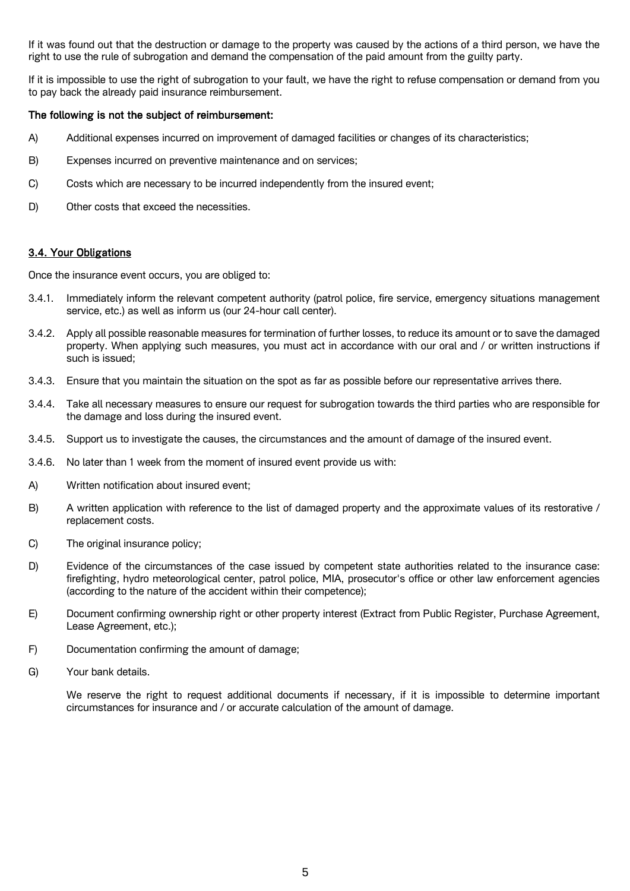If it was found out that the destruction or damage to the property was caused by the actions of a third person, we have the right to use the rule of subrogation and demand the compensation of the paid amount from the guilty party.

If it is impossible to use the right of subrogation to your fault, we have the right to refuse compensation or demand from you to pay back the already paid insurance reimbursement.

## The following is not the subject of reimbursement:

- A) Additional expenses incurred on improvement of damaged facilities or changes of its characteristics;
- B) Expenses incurred on preventive maintenance and on services;
- C) Costs which are necessary to be incurred independently from the insured event;
- D) Other costs that exceed the necessities.

## 3.4. Your Obligations

Once the insurance event occurs, you are obliged to:

- 3.4.1. Immediately inform the relevant competent authority (patrol police, fire service, emergency situations management service, etc.) as well as inform us (our 24-hour call center).
- 3.4.2. Apply all possible reasonable measures for termination of further losses, to reduce its amount or to save the damaged property. When applying such measures, you must act in accordance with our oral and / or written instructions if such is issued;
- 3.4.3. Ensure that you maintain the situation on the spot as far as possible before our representative arrives there.
- 3.4.4. Take all necessary measures to ensure our request for subrogation towards the third parties who are responsible for the damage and loss during the insured event.
- 3.4.5. Support us to investigate the causes, the circumstances and the amount of damage of the insured event.
- 3.4.6. No later than 1 week from the moment of insured event provide us with:
- A) Written notification about insured event;
- B) A written application with reference to the list of damaged property and the approximate values of its restorative / replacement costs.
- C) The original insurance policy;
- D) Evidence of the circumstances of the case issued by competent state authorities related to the insurance case: firefighting, hydro meteorological center, patrol police, MIA, prosecutor's office or other law enforcement agencies (according to the nature of the accident within their competence);
- E) Document confirming ownership right or other property interest (Extract from Public Register, Purchase Agreement, Lease Agreement, etc.);
- F) Documentation confirming the amount of damage;
- G) Your bank details.

We reserve the right to request additional documents if necessary, if it is impossible to determine important circumstances for insurance and / or accurate calculation of the amount of damage.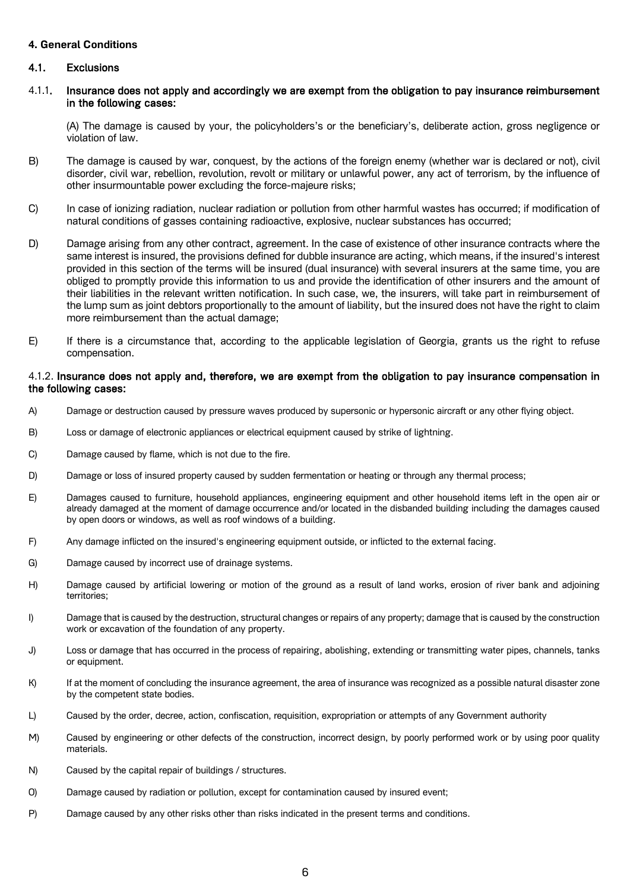### **4. General Conditions**

## 4.1. Exclusions

4.1.1. Insurance does not apply and accordingly we are exempt from the obligation to pay insurance reimbursement in the following cases:

(A) The damage is caused by your, the policyholders's or the beneficiary's, deliberate action, gross negligence or violation of law.

- B) The damage is caused by war, conquest, by the actions of the foreign enemy (whether war is declared or not), civil disorder, civil war, rebellion, revolution, revolt or military or unlawful power, any act of terrorism, by the influence of other insurmountable power excluding the force-majeure risks;
- C) In case of ionizing radiation, nuclear radiation or pollution from other harmful wastes has occurred; if modification of natural conditions of gasses containing radioactive, explosive, nuclear substances has occurred;
- D) Damage arising from any other contract, agreement. In the case of existence of other insurance contracts where the same interest is insured, the provisions defined for dubble insurance are acting, which means, if the insured's interest provided in this section of the terms will be insured (dual insurance) with several insurers at the same time, you are obliged to promptly provide this information to us and provide the identification of other insurers and the amount of their liabilities in the relevant written notification. In such case, we, the insurers, will take part in reimbursement of the lump sum as joint debtors proportionally to the amount of liability, but the insured does not have the right to claim more reimbursement than the actual damage;
- E) If there is a circumstance that, according to the applicable legislation of Georgia, grants us the right to refuse compensation.

#### 4.1.2. Insurance does not apply and, therefore, we are exempt from the obligation to pay insurance compensation in the following cases:

- A) Damage or destruction caused by pressure waves produced by supersonic or hypersonic aircraft or any other flying object.
- B) Loss or damage of electronic appliances or electrical equipment caused by strike of lightning.
- C) Damage caused by flame, which is not due to the fire.
- D) Damage or loss of insured property caused by sudden fermentation or heating or through any thermal process;
- E) Damages caused to furniture, household appliances, engineering equipment and other household items left in the open air or already damaged at the moment of damage occurrence and/or located in the disbanded building including the damages caused by open doors or windows, as well as roof windows of a building.
- F) Any damage inflicted on the insured's engineering equipment outside, or inflicted to the external facing.
- G) Damage caused by incorrect use of drainage systems.
- H) Damage caused by artificial lowering or motion of the ground as a result of land works, erosion of river bank and adjoining territories;
- I) Damage that is caused by the destruction, structural changes or repairs of any property; damage that is caused by the construction work or excavation of the foundation of any property.
- J) Loss or damage that has occurred in the process of repairing, abolishing, extending or transmitting water pipes, channels, tanks or equipment.
- K) If at the moment of concluding the insurance agreement, the area of insurance was recognized as a possible natural disaster zone by the competent state bodies.
- L) Caused by the order, decree, action, confiscation, requisition, expropriation or attempts of any Government authority
- M) Caused by engineering or other defects of the construction, incorrect design, by poorly performed work or by using poor quality materials.
- N) Caused by the capital repair of buildings / structures.
- O) Damage caused by radiation or pollution, except for contamination caused by insured event;
- P) Damage caused by any other risks other than risks indicated in the present terms and conditions.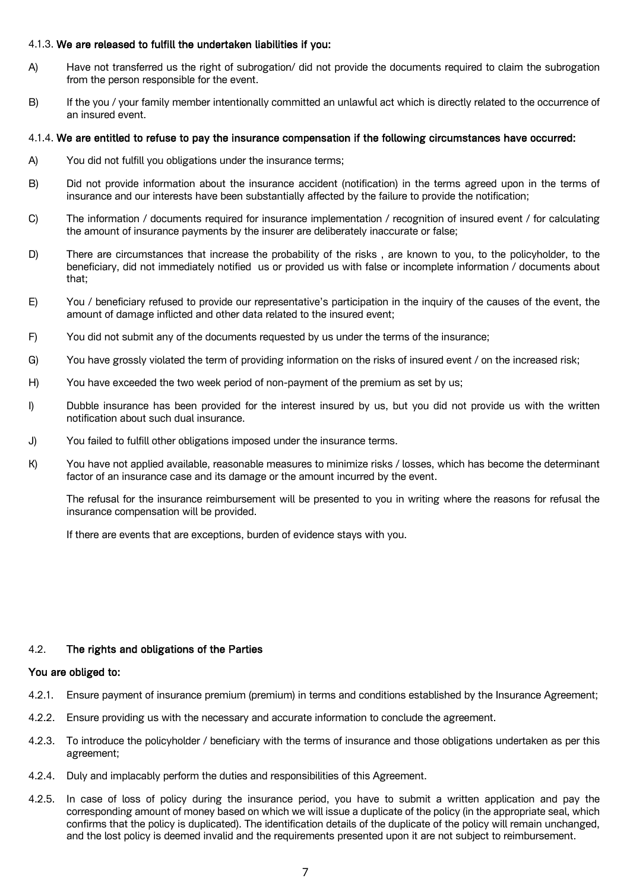## 4.1.3. We are released to fulfill the undertaken liabilities if you:

- A) Have not transferred us the right of subrogation/ did not provide the documents required to claim the subrogation from the person responsible for the event.
- B) If the you / your family member intentionally committed an unlawful act which is directly related to the occurrence of an insured event.

### 4.1.4. We are entitled to refuse to pay the insurance compensation if the following circumstances have occurred:

- A) You did not fulfill you obligations under the insurance terms;
- B) Did not provide information about the insurance accident (notification) in the terms agreed upon in the terms of insurance and our interests have been substantially affected by the failure to provide the notification;
- C) The information / documents required for insurance implementation / recognition of insured event / for calculating the amount of insurance payments by the insurer are deliberately inaccurate or false;
- D) There are circumstances that increase the probability of the risks , are known to you, to the policyholder, to the beneficiary, did not immediately notified us or provided us with false or incomplete information / documents about that;
- E) You / beneficiary refused to provide our representative's participation in the inquiry of the causes of the event, the amount of damage inflicted and other data related to the insured event;
- F) You did not submit any of the documents requested by us under the terms of the insurance;
- G) You have grossly violated the term of providing information on the risks of insured event / on the increased risk;
- H) You have exceeded the two week period of non-payment of the premium as set by us;
- I) Dubble insurance has been provided for the interest insured by us, but you did not provide us with the written notification about such dual insurance.
- J) You failed to fulfill other obligations imposed under the insurance terms.
- K) You have not applied available, reasonable measures to minimize risks / losses, which has become the determinant factor of an insurance case and its damage or the amount incurred by the event.

The refusal for the insurance reimbursement will be presented to you in writing where the reasons for refusal the insurance compensation will be provided.

If there are events that are exceptions, burden of evidence stays with you.

## 4.2. The rights and obligations of the Parties

#### You are obliged to:

- 4.2.1. Ensure payment of insurance premium (premium) in terms and conditions established by the Insurance Agreement;
- 4.2.2. Ensure providing us with the necessary and accurate information to conclude the agreement.
- 4.2.3. To introduce the policyholder / beneficiary with the terms of insurance and those obligations undertaken as per this agreement;
- 4.2.4. Duly and implacably perform the duties and responsibilities of this Agreement.
- 4.2.5. In case of loss of policy during the insurance period, you have to submit a written application and pay the corresponding amount of money based on which we will issue a duplicate of the policy (in the appropriate seal, which confirms that the policy is duplicated). The identification details of the duplicate of the policy will remain unchanged, and the lost policy is deemed invalid and the requirements presented upon it are not subject to reimbursement.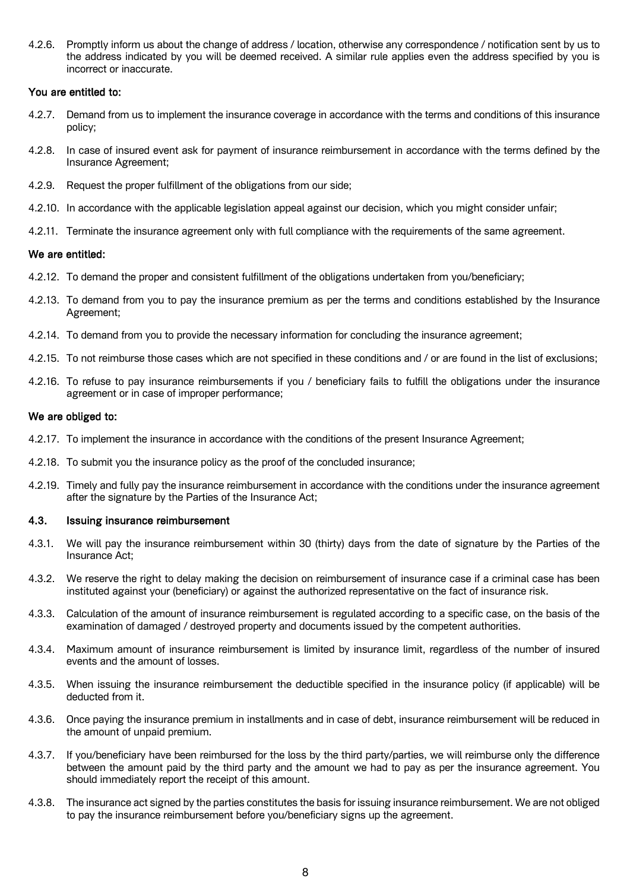4.2.6. Promptly inform us about the change of address / location, otherwise any correspondence / notification sent by us to the address indicated by you will be deemed received. A similar rule applies even the address specified by you is incorrect or inaccurate.

#### You are entitled to:

- 4.2.7. Demand from us to implement the insurance coverage in accordance with the terms and conditions of this insurance policy;
- 4.2.8. In case of insured event ask for payment of insurance reimbursement in accordance with the terms defined by the Insurance Agreement;
- 4.2.9. Request the proper fulfillment of the obligations from our side;
- 4.2.10. In accordance with the applicable legislation appeal against our decision, which you might consider unfair;
- 4.2.11. Terminate the insurance agreement only with full compliance with the requirements of the same agreement.

#### We are entitled:

- 4.2.12. To demand the proper and consistent fulfillment of the obligations undertaken from you/beneficiary;
- 4.2.13. To demand from you to pay the insurance premium as per the terms and conditions established by the Insurance Agreement;
- 4.2.14. To demand from you to provide the necessary information for concluding the insurance agreement;
- 4.2.15. To not reimburse those cases which are not specified in these conditions and / or are found in the list of exclusions;
- 4.2.16. To refuse to pay insurance reimbursements if you / beneficiary fails to fulfill the obligations under the insurance agreement or in case of improper performance;

#### We are obliged to:

- 4.2.17. To implement the insurance in accordance with the conditions of the present Insurance Agreement;
- 4.2.18. To submit you the insurance policy as the proof of the concluded insurance;
- 4.2.19. Timely and fully pay the insurance reimbursement in accordance with the conditions under the insurance agreement after the signature by the Parties of the Insurance Act;

#### 4.3. Issuing insurance reimbursement

- 4.3.1. We will pay the insurance reimbursement within 30 (thirty) days from the date of signature by the Parties of the Insurance Act;
- 4.3.2. We reserve the right to delay making the decision on reimbursement of insurance case if a criminal case has been instituted against your (beneficiary) or against the authorized representative on the fact of insurance risk.
- 4.3.3. Calculation of the amount of insurance reimbursement is regulated according to a specific case, on the basis of the examination of damaged / destroyed property and documents issued by the competent authorities.
- 4.3.4. Maximum amount of insurance reimbursement is limited by insurance limit, regardless of the number of insured events and the amount of losses.
- 4.3.5. When issuing the insurance reimbursement the deductible specified in the insurance policy (if applicable) will be deducted from it.
- 4.3.6. Once paying the insurance premium in installments and in case of debt, insurance reimbursement will be reduced in the amount of unpaid premium.
- 4.3.7. If you/beneficiary have been reimbursed for the loss by the third party/parties, we will reimburse only the difference between the amount paid by the third party and the amount we had to pay as per the insurance agreement. You should immediately report the receipt of this amount.
- 4.3.8. The insurance act signed by the parties constitutes the basis for issuing insurance reimbursement. We are not obliged to pay the insurance reimbursement before you/beneficiary signs up the agreement.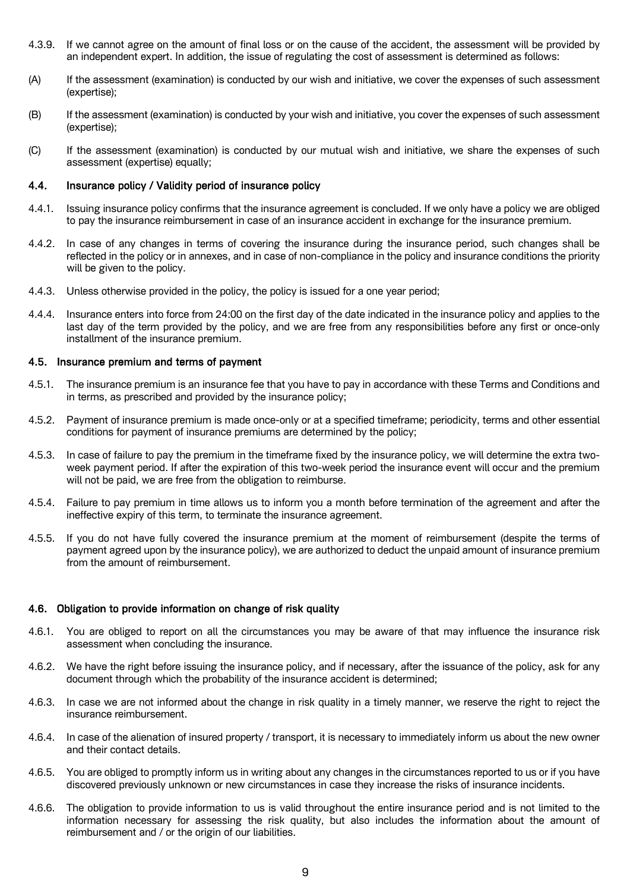- 4.3.9. If we cannot agree on the amount of final loss or on the cause of the accident, the assessment will be provided by an independent expert. In addition, the issue of regulating the cost of assessment is determined as follows:
- (A) If the assessment (examination) is conducted by our wish and initiative, we cover the expenses of such assessment (expertise);
- (B) If the assessment (examination) is conducted by your wish and initiative, you cover the expenses of such assessment (expertise);
- (C) If the assessment (examination) is conducted by our mutual wish and initiative, we share the expenses of such assessment (expertise) equally;

#### 4.4. Insurance policy / Validity period of insurance policy

- 4.4.1. Issuing insurance policy confirms that the insurance agreement is concluded. If we only have a policy we are obliged to pay the insurance reimbursement in case of an insurance accident in exchange for the insurance premium.
- 4.4.2. In case of any changes in terms of covering the insurance during the insurance period, such changes shall be reflected in the policy or in annexes, and in case of non-compliance in the policy and insurance conditions the priority will be given to the policy.
- 4.4.3. Unless otherwise provided in the policy, the policy is issued for a one year period;
- 4.4.4. Insurance enters into force from 24:00 on the first day of the date indicated in the insurance policy and applies to the last day of the term provided by the policy, and we are free from any responsibilities before any first or once-only installment of the insurance premium.

#### 4.5. Insurance premium and terms of payment

- 4.5.1. The insurance premium is an insurance fee that you have to pay in accordance with these Terms and Conditions and in terms, as prescribed and provided by the insurance policy;
- 4.5.2. Payment of insurance premium is made once-only or at a specified timeframe; periodicity, terms and other essential conditions for payment of insurance premiums are determined by the policy;
- 4.5.3. In case of failure to pay the premium in the timeframe fixed by the insurance policy, we will determine the extra twoweek payment period. If after the expiration of this two-week period the insurance event will occur and the premium will not be paid, we are free from the obligation to reimburse.
- 4.5.4. Failure to pay premium in time allows us to inform you a month before termination of the agreement and after the ineffective expiry of this term, to terminate the insurance agreement.
- 4.5.5. If you do not have fully covered the insurance premium at the moment of reimbursement (despite the terms of payment agreed upon by the insurance policy), we are authorized to deduct the unpaid amount of insurance premium from the amount of reimbursement.

#### 4.6. Obligation to provide information on change of risk quality

- 4.6.1. You are obliged to report on all the circumstances you may be aware of that may influence the insurance risk assessment when concluding the insurance.
- 4.6.2. We have the right before issuing the insurance policy, and if necessary, after the issuance of the policy, ask for any document through which the probability of the insurance accident is determined;
- 4.6.3. In case we are not informed about the change in risk quality in a timely manner, we reserve the right to reject the insurance reimbursement.
- 4.6.4. In case of the alienation of insured property / transport, it is necessary to immediately inform us about the new owner and their contact details.
- 4.6.5. You are obliged to promptly inform us in writing about any changes in the circumstances reported to us or if you have discovered previously unknown or new circumstances in case they increase the risks of insurance incidents.
- 4.6.6. The obligation to provide information to us is valid throughout the entire insurance period and is not limited to the information necessary for assessing the risk quality, but also includes the information about the amount of reimbursement and / or the origin of our liabilities.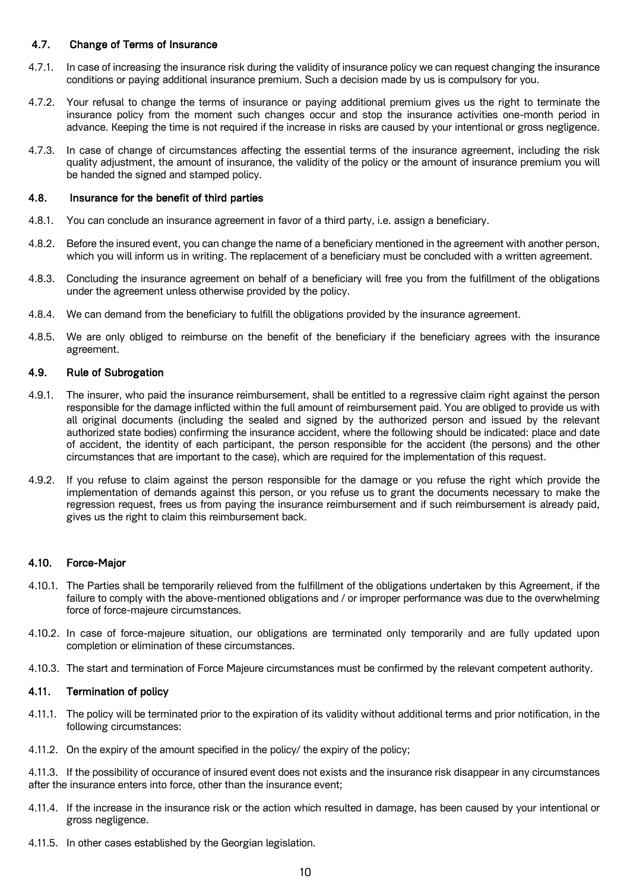## 4.7. Change of Terms of Insurance

- 4.7.1. In case of increasing the insurance risk during the validity of insurance policy we can request changing the insurance conditions or paying additional insurance premium. Such a decision made by us is compulsory for you.
- 4.7.2. Your refusal to change the terms of insurance or paying additional premium gives us the right to terminate the insurance policy from the moment such changes occur and stop the insurance activities one-month period in advance. Keeping the time is not required if the increase in risks are caused by your intentional or gross negligence.
- 4.7.3. In case of change of circumstances affecting the essential terms of the insurance agreement, including the risk quality adjustment, the amount of insurance, the validity of the policy or the amount of insurance premium you will be handed the signed and stamped policy.

#### 4.8. Insurance for the benefit of third parties

- 4.8.1. You can conclude an insurance agreement in favor of a third party, i.e. assign a beneficiary.
- 4.8.2. Before the insured event, you can change the name of a beneficiary mentioned in the agreement with another person, which you will inform us in writing. The replacement of a beneficiary must be concluded with a written agreement.
- 4.8.3. Concluding the insurance agreement on behalf of a beneficiary will free you from the fulfillment of the obligations under the agreement unless otherwise provided by the policy.
- 4.8.4. We can demand from the beneficiary to fulfill the obligations provided by the insurance agreement.
- 4.8.5. We are only obliged to reimburse on the benefit of the beneficiary if the beneficiary agrees with the insurance agreement.

#### 4.9. Rule of Subrogation

- 4.9.1. The insurer, who paid the insurance reimbursement, shall be entitled to a regressive claim right against the person responsible for the damage inflicted within the full amount of reimbursement paid. You are obliged to provide us with all original documents (including the sealed and signed by the authorized person and issued by the relevant authorized state bodies) confirming the insurance accident, where the following should be indicated: place and date of accident, the identity of each participant, the person responsible for the accident (the persons) and the other circumstances that are important to the case), which are required for the implementation of this request.
- 4.9.2. If you refuse to claim against the person responsible for the damage or you refuse the right which provide the implementation of demands against this person, or you refuse us to grant the documents necessary to make the regression request, frees us from paying the insurance reimbursement and if such reimbursement is already paid, gives us the right to claim this reimbursement back.

#### 4.10. Force-Major

- 4.10.1. The Parties shall be temporarily relieved from the fulfillment of the obligations undertaken by this Agreement, if the failure to comply with the above-mentioned obligations and / or improper performance was due to the overwhelming force of force-majeure circumstances.
- 4.10.2. In case of force-majeure situation, our obligations are terminated only temporarily and are fully updated upon completion or elimination of these circumstances.
- 4.10.3. The start and termination of Force Majeure circumstances must be confirmed by the relevant competent authority.

## 4.11. Termination of policy

- 4.11.1. The policy will be terminated prior to the expiration of its validity without additional terms and prior notification, in the following circumstances:
- 4.11.2. On the expiry of the amount specified in the policy/ the expiry of the policy;

4.11.3. If the possibility of occurance of insured event does not exists and the insurance risk disappear in any circumstances after the insurance enters into force, other than the insurance event;

- 4.11.4. If the increase in the insurance risk or the action which resulted in damage, has been caused by your intentional or gross negligence.
- 4.11.5. In other cases established by the Georgian legislation.